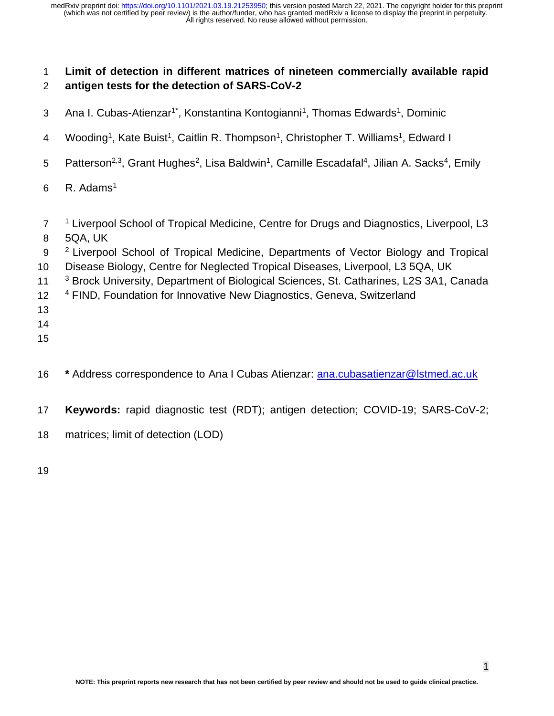# 1 **Limit of detection in different matrices of nineteen commercially available rapid**  2 **antigen tests for the detection of SARS-CoV-2**

- 3 Ana I. Cubas-Atienzar<sup>1\*</sup>, Konstantina Kontogianni<sup>1</sup>, Thomas Edwards<sup>1</sup>, Dominic
- 4 Wooding<sup>1</sup>, Kate Buist<sup>1</sup>, Caitlin R. Thompson<sup>1</sup>, Christopher T. Williams<sup>1</sup>, Edward I
- 5 Patterson<sup>2,3</sup>, Grant Hughes<sup>2</sup>, Lisa Baldwin<sup>1</sup>, Camille Escadafal<sup>4</sup>, Jilian A. Sacks<sup>4</sup>, Emily
- 6 R. Adams<sup>1</sup>
- <sup>1</sup> Liverpool School of Tropical Medicine, Centre for Drugs and Diagnostics, Liverpool, L3 8 5QA, UK
- 9 <sup>2</sup> Liverpool School of Tropical Medicine, Departments of Vector Biology and Tropical
- 10 Disease Biology, Centre for Neglected Tropical Diseases, Liverpool, L3 5QA, UK
- <sup>3</sup> Brock University, Department of Biological Sciences, St. Catharines, L2S 3A1, Canada

# 12 <sup>4</sup> FIND, Foundation for Innovative New Diagnostics, Geneva, Switzerland

- 13
- 14
- 15
- 16 **\*** Address correspondence to Ana I Cubas Atienzar: [ana.cubasatienzar@lstmed.ac.uk](mailto:ana.cubasatienzar@lstmed.ac.uk)
- 17 **Keywords:** rapid diagnostic test (RDT); antigen detection; COVID-19; SARS-CoV-2;
- 18 matrices; limit of detection (LOD)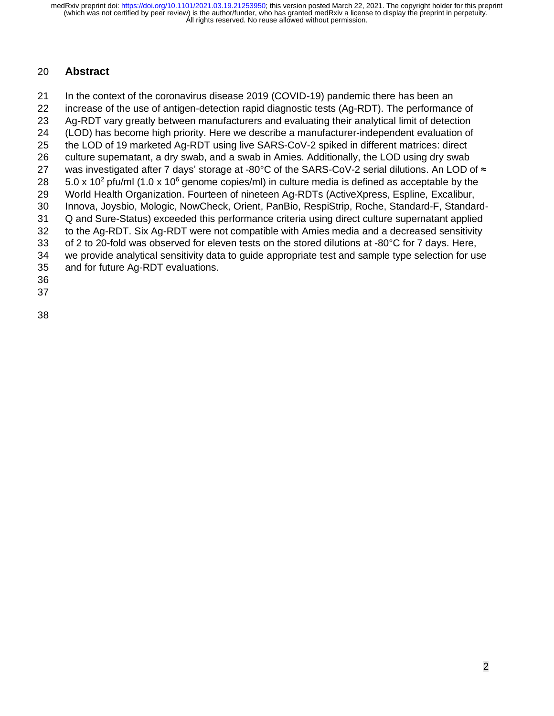# **Abstract**

 In the context of the coronavirus disease 2019 (COVID-19) pandemic there has been an increase of the use of antigen-detection rapid diagnostic tests (Ag-RDT). The performance of Ag-RDT vary greatly between manufacturers and evaluating their analytical limit of detection (LOD) has become high priority. Here we describe a manufacturer-independent evaluation of the LOD of 19 marketed Ag-RDT using live SARS-CoV-2 spiked in different matrices: direct culture supernatant, a dry swab, and a swab in Amies. Additionally, the LOD using dry swab 27 was investigated after 7 days' storage at -80°C of the SARS-CoV-2 serial dilutions. An LOD of ≈  $-5.0 \times 10^2$  pfu/ml (1.0 x 10<sup>6</sup> genome copies/ml) in culture media is defined as acceptable by the World Health Organization. Fourteen of nineteen Ag-RDTs (ActiveXpress, Espline, Excalibur, Innova, Joysbio, Mologic, NowCheck, Orient, PanBio, RespiStrip, Roche, Standard-F, Standard- Q and Sure-Status) exceeded this performance criteria using direct culture supernatant applied to the Ag-RDT. Six Ag-RDT were not compatible with Amies media and a decreased sensitivity of 2 to 20-fold was observed for eleven tests on the stored dilutions at -80°C for 7 days. Here, we provide analytical sensitivity data to guide appropriate test and sample type selection for use and for future Ag-RDT evaluations.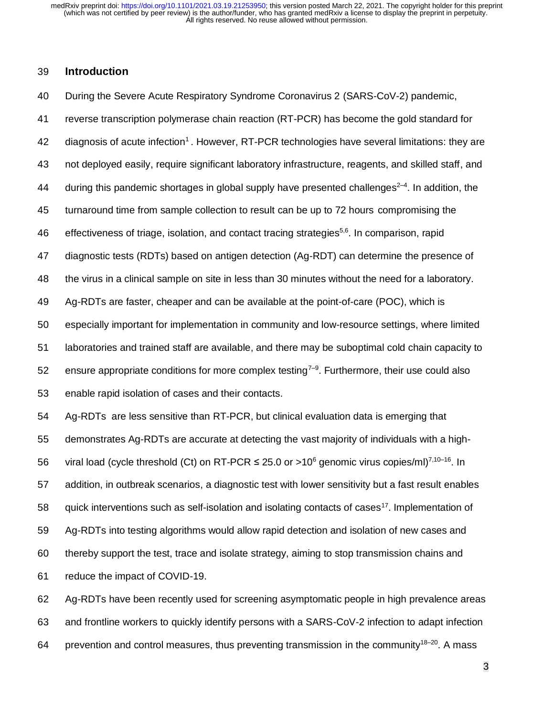## **Introduction**

 During the Severe Acute Respiratory Syndrome Coronavirus 2 (SARS-CoV-2) pandemic, reverse transcription polymerase chain reaction (RT-PCR) has become the gold standard for 42 diagnosis of acute infection<sup>1</sup>. However, RT-PCR technologies have several limitations: they are not deployed easily, require significant laboratory infrastructure, reagents, and skilled staff, and 44 during this pandemic shortages in global supply have presented challenges<sup>2-4</sup>. In addition, the turnaround time from sample collection to result can be up to 72 hours compromising the 46 effectiveness of triage, isolation, and contact tracing strategies<sup>5,6</sup>. In comparison, rapid diagnostic tests (RDTs) based on antigen detection (Ag-RDT) can determine the presence of the virus in a clinical sample on site in less than 30 minutes without the need for a laboratory. Ag-RDTs are faster, cheaper and can be available at the point-of-care (POC), which is especially important for implementation in community and low-resource settings, where limited laboratories and trained staff are available, and there may be suboptimal cold chain capacity to 52 ensure appropriate conditions for more complex testing<sup> $7-9$ </sup>. Furthermore, their use could also enable rapid isolation of cases and their contacts. Ag-RDTs are less sensitive than RT-PCR, but clinical evaluation data is emerging that demonstrates Ag-RDTs are accurate at detecting the vast majority of individuals with a high-56 viral load (cycle threshold (Ct) on RT-PCR  $\leq$  25.0 or >10<sup>6</sup> genomic virus copies/ml)<sup>7,10–16</sup>. In addition, in outbreak scenarios, a diagnostic test with lower sensitivity but a fast result enables 58 guick interventions such as self-isolation and isolating contacts of cases<sup>17</sup>. Implementation of Ag-RDTs into testing algorithms would allow rapid detection and isolation of new cases and thereby support the test, trace and isolate strategy, aiming to stop transmission chains and reduce the impact of COVID-19.

 Ag-RDTs have been recently used for screening asymptomatic people in high prevalence areas and frontline workers to quickly identify persons with a SARS-CoV-2 infection to adapt infection 64 brevention and control measures, thus preventing transmission in the community<sup>18–20</sup>. A mass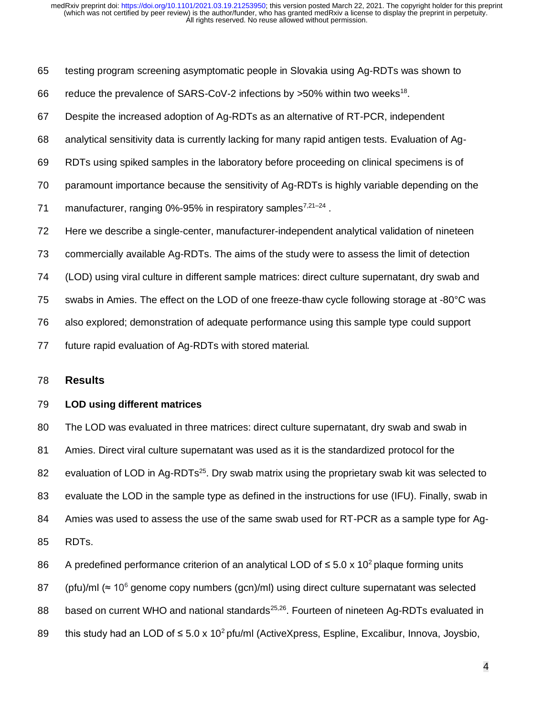testing program screening asymptomatic people in Slovakia using Ag-RDTs was shown to

- 66 reduce the prevalence of SARS-CoV-2 infections by  $>50\%$  within two weeks<sup>18</sup>.
- Despite the increased adoption of Ag-RDTs as an alternative of RT-PCR, independent
- analytical sensitivity data is currently lacking for many rapid antigen tests. Evaluation of Ag-
- RDTs using spiked samples in the laboratory before proceeding on clinical specimens is of
- paramount importance because the sensitivity of Ag-RDTs is highly variable depending on the
- 71 manufacturer, ranging 0%-95% in respiratory samples<sup>7,21-24</sup>.
- Here we describe a single-center, manufacturer-independent analytical validation of nineteen
- commercially available Ag-RDTs. The aims of the study were to assess the limit of detection
- (LOD) using viral culture in different sample matrices: direct culture supernatant, dry swab and

swabs in Amies. The effect on the LOD of one freeze-thaw cycle following storage at -80°C was

- also explored; demonstration of adequate performance using this sample type could support
- future rapid evaluation of Ag-RDTs with stored material.

## **Results**

## **LOD using different matrices**

 The LOD was evaluated in three matrices: direct culture supernatant, dry swab and swab in Amies. Direct viral culture supernatant was used as it is the standardized protocol for the 82 evaluation of LOD in Ag-RDTs<sup>25</sup>. Dry swab matrix using the proprietary swab kit was selected to 83 evaluate the LOD in the sample type as defined in the instructions for use (IFU). Finally, swab in Amies was used to assess the use of the same swab used for RT-PCR as a sample type for Ag-RDTs.

- 86 A predefined performance criterion of an analytical LOD of ≤ 5.0 x 10<sup>2</sup> plaque forming units
- 87 (pfu)/ml (≈ 10<sup>6</sup> genome copy numbers (gcn)/ml) using direct culture supernatant was selected
- 88 based on current WHO and national standards<sup>25,26</sup>. Fourteen of nineteen Ag-RDTs evaluated in
- 89 this study had an LOD of  $\leq 5.0 \times 10^2$  pfu/ml (ActiveXpress, Espline, Excalibur, Innova, Joysbio,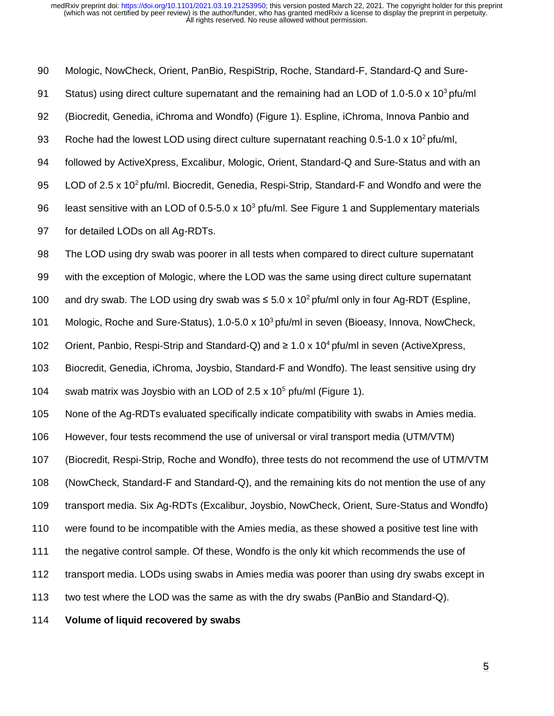Mologic, NowCheck, Orient, PanBio, RespiStrip, Roche, Standard-F, Standard-Q and Sure-91 Status) using direct culture supernatant and the remaining had an LOD of 1.0-5.0 x 10<sup>3</sup> pfu/ml (Biocredit, Genedia, iChroma and Wondfo) (Figure 1). Espline, iChroma, Innova Panbio and 93 Roche had the lowest LOD using direct culture supernatant reaching  $0.5$ -1.0 x 10<sup>2</sup> pfu/ml, followed by ActiveXpress, Excalibur, Mologic, Orient, Standard-Q and Sure-Status and with an 95 LOD of 2.5 x  $10<sup>2</sup>$  pfu/ml. Biocredit, Genedia, Respi-Strip, Standard-F and Wondfo and were the 96 least sensitive with an LOD of 0.5-5.0 x 10<sup>3</sup> pfu/ml. See Figure 1 and Supplementary materials for detailed LODs on all Ag-RDTs. The LOD using dry swab was poorer in all tests when compared to direct culture supernatant with the exception of Mologic, where the LOD was the same using direct culture supernatant 100 and dry swab. The LOD using dry swab was  $\leq 5.0 \times 10^2$  pfu/ml only in four Ag-RDT (Espline, 101 Mologic, Roche and Sure-Status), 1.0-5.0 x 10<sup>3</sup> pfu/ml in seven (Bioeasy, Innova, NowCheck, 102 Orient, Panbio, Respi-Strip and Standard-Q) and ≥ 1.0 x 10<sup>4</sup> pfu/ml in seven (ActiveXpress, Biocredit, Genedia, iChroma, Joysbio, Standard-F and Wondfo). The least sensitive using dry 104 swab matrix was Joysbio with an LOD of 2.5 x 10<sup>5</sup> pfu/ml (Figure 1). None of the Ag-RDTs evaluated specifically indicate compatibility with swabs in Amies media. However, four tests recommend the use of universal or viral transport media (UTM/VTM) (Biocredit, Respi-Strip, Roche and Wondfo), three tests do not recommend the use of UTM/VTM (NowCheck, Standard-F and Standard-Q), and the remaining kits do not mention the use of any transport media. Six Ag-RDTs (Excalibur, Joysbio, NowCheck, Orient, Sure-Status and Wondfo) were found to be incompatible with the Amies media, as these showed a positive test line with 111 the negative control sample. Of these, Wondfo is the only kit which recommends the use of transport media. LODs using swabs in Amies media was poorer than using dry swabs except in two test where the LOD was the same as with the dry swabs (PanBio and Standard-Q).

114 **Volume of liquid recovered by swabs**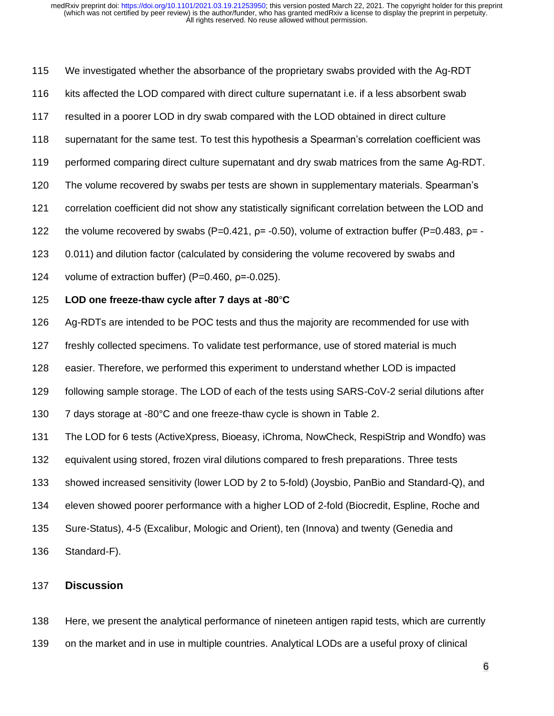We investigated whether the absorbance of the proprietary swabs provided with the Ag-RDT kits affected the LOD compared with direct culture supernatant i.e. if a less absorbent swab resulted in a poorer LOD in dry swab compared with the LOD obtained in direct culture supernatant for the same test. To test this hypothesis a Spearman's correlation coefficient was performed comparing direct culture supernatant and dry swab matrices from the same Ag-RDT. The volume recovered by swabs per tests are shown in supplementary materials. Spearman's correlation coefficient did not show any statistically significant correlation between the LOD and 122 the volume recovered by swabs  $(P=0.421, p=0.50)$ , volume of extraction buffer  $(P=0.483, p=0.483)$  0.011) and dilution factor (calculated by considering the volume recovered by swabs and volume of extraction buffer) (P=0.460, ρ=-0.025). **LOD one freeze-thaw cycle after 7 days at -80**°**C** Ag-RDTs are intended to be POC tests and thus the majority are recommended for use with freshly collected specimens. To validate test performance, use of stored material is much easier. Therefore, we performed this experiment to understand whether LOD is impacted following sample storage. The LOD of each of the tests using SARS-CoV-2 serial dilutions after 7 days storage at -80°C and one freeze-thaw cycle is shown in Table 2. The LOD for 6 tests (ActiveXpress, Bioeasy, iChroma, NowCheck, RespiStrip and Wondfo) was equivalent using stored, frozen viral dilutions compared to fresh preparations. Three tests showed increased sensitivity (lower LOD by 2 to 5-fold) (Joysbio, PanBio and Standard-Q), and eleven showed poorer performance with a higher LOD of 2-fold (Biocredit, Espline, Roche and Sure-Status), 4-5 (Excalibur, Mologic and Orient), ten (Innova) and twenty (Genedia and

Standard-F).

#### **Discussion**

 Here, we present the analytical performance of nineteen antigen rapid tests, which are currently on the market and in use in multiple countries. Analytical LODs are a useful proxy of clinical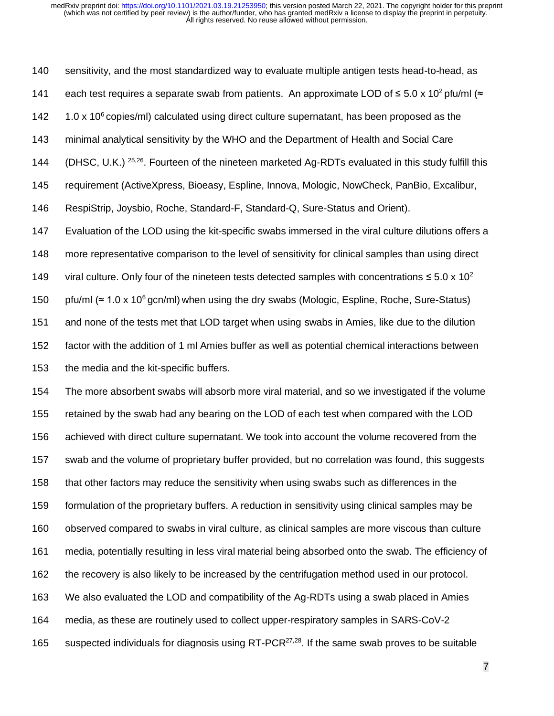sensitivity, and the most standardized way to evaluate multiple antigen tests head-to-head, as 141 each test requires a separate swab from patients. An approximate LOD of  $\leq 5.0 \times 10^2$  pfu/ml ( $\approx$  $1.0 \times 10^6$  copies/ml) calculated using direct culture supernatant, has been proposed as the minimal analytical sensitivity by the WHO and the Department of Health and Social Care 144 (DHSC, U.K.)  $25,26$ . Fourteen of the nineteen marketed Ag-RDTs evaluated in this study fulfill this requirement (ActiveXpress, Bioeasy, Espline, Innova, Mologic, NowCheck, PanBio, Excalibur, RespiStrip, Joysbio, Roche, Standard-F, Standard-Q, Sure-Status and Orient). Evaluation of the LOD using the kit-specific swabs immersed in the viral culture dilutions offers a more representative comparison to the level of sensitivity for clinical samples than using direct 149 viral culture. Only four of the nineteen tests detected samples with concentrations  $\leq 5.0 \times 10^2$ 150 pfu/ml (≈ 1.0 x 10<sup>6</sup> gcn/ml) when using the dry swabs (Mologic, Espline, Roche, Sure-Status) and none of the tests met that LOD target when using swabs in Amies, like due to the dilution factor with the addition of 1 ml Amies buffer as well as potential chemical interactions between the media and the kit-specific buffers.

 The more absorbent swabs will absorb more viral material, and so we investigated if the volume retained by the swab had any bearing on the LOD of each test when compared with the LOD achieved with direct culture supernatant. We took into account the volume recovered from the swab and the volume of proprietary buffer provided, but no correlation was found, this suggests that other factors may reduce the sensitivity when using swabs such as differences in the formulation of the proprietary buffers. A reduction in sensitivity using clinical samples may be observed compared to swabs in viral culture, as clinical samples are more viscous than culture media, potentially resulting in less viral material being absorbed onto the swab. The efficiency of the recovery is also likely to be increased by the centrifugation method used in our protocol. We also evaluated the LOD and compatibility of the Ag-RDTs using a swab placed in Amies media, as these are routinely used to collect upper-respiratory samples in SARS-CoV-2 165 suspected individuals for diagnosis using RT-PCR<sup>27,28</sup>. If the same swab proves to be suitable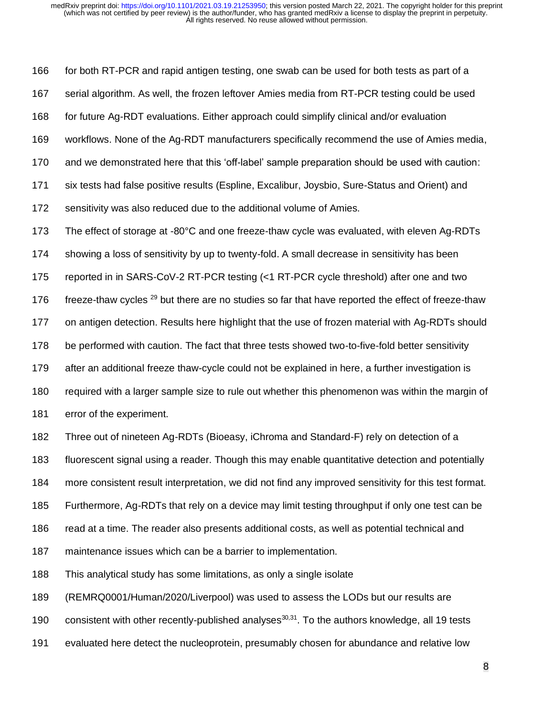166 for both RT-PCR and rapid antigen testing, one swab can be used for both tests as part of a serial algorithm. As well, the frozen leftover Amies media from RT-PCR testing could be used for future Ag-RDT evaluations. Either approach could simplify clinical and/or evaluation workflows. None of the Ag-RDT manufacturers specifically recommend the use of Amies media, and we demonstrated here that this 'off-label' sample preparation should be used with caution: six tests had false positive results (Espline, Excalibur, Joysbio, Sure-Status and Orient) and sensitivity was also reduced due to the additional volume of Amies. The effect of storage at -80°C and one freeze-thaw cycle was evaluated, with eleven Ag-RDTs showing a loss of sensitivity by up to twenty-fold. A small decrease in sensitivity has been reported in in SARS-CoV-2 RT-PCR testing (<1 RT-PCR cycle threshold) after one and two 176 freeze-thaw cycles  $^{29}$  but there are no studies so far that have reported the effect of freeze-thaw on antigen detection. Results here highlight that the use of frozen material with Ag-RDTs should be performed with caution. The fact that three tests showed two-to-five-fold better sensitivity after an additional freeze thaw-cycle could not be explained in here, a further investigation is required with a larger sample size to rule out whether this phenomenon was within the margin of error of the experiment. Three out of nineteen Ag-RDTs (Bioeasy, iChroma and Standard-F) rely on detection of a

fluorescent signal using a reader. Though this may enable quantitative detection and potentially

more consistent result interpretation, we did not find any improved sensitivity for this test format.

Furthermore, Ag-RDTs that rely on a device may limit testing throughput if only one test can be

186 read at a time. The reader also presents additional costs, as well as potential technical and

maintenance issues which can be a barrier to implementation.

This analytical study has some limitations, as only a single isolate

(REMRQ0001/Human/2020/Liverpool) was used to assess the LODs but our results are

190 consistent with other recently-published analyses<sup>30,31</sup>. To the authors knowledge, all 19 tests

evaluated here detect the nucleoprotein, presumably chosen for abundance and relative low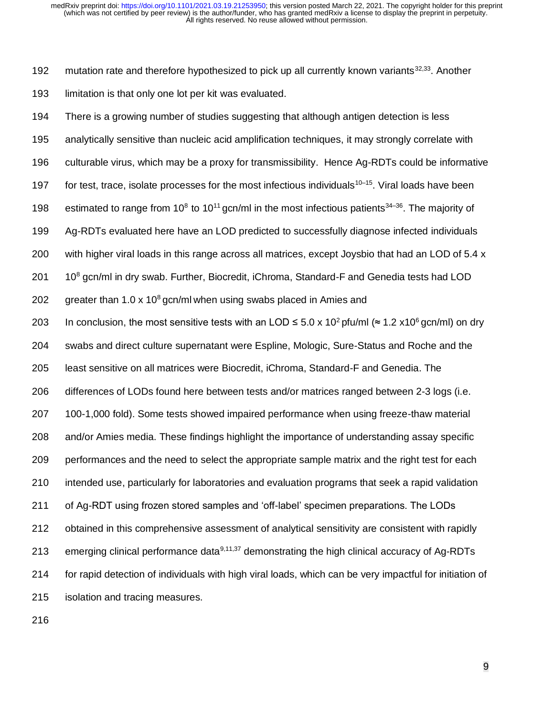192 mutation rate and therefore hypothesized to pick up all currently known variants  $32,33$ . Another 193 limitation is that only one lot per kit was evaluated.

 There is a growing number of studies suggesting that although antigen detection is less analytically sensitive than nucleic acid amplification techniques, it may strongly correlate with culturable virus, which may be a proxy for transmissibility. Hence Ag-RDTs could be informative 197 for test, trace, isolate processes for the most infectious individuals<sup>10–15</sup>. Viral loads have been 198 estimated to range from 10<sup>8</sup> to 10<sup>11</sup> gcn/ml in the most infectious patients<sup>34–36</sup>. The majority of Ag-RDTs evaluated here have an LOD predicted to successfully diagnose infected individuals with higher viral loads in this range across all matrices, except Joysbio that had an LOD of 5.4 x  $10^8$  gcn/ml in dry swab. Further, Biocredit, iChroma, Standard-F and Genedia tests had LOD 202 greater than 1.0 x 10<sup>8</sup> gcn/ml when using swabs placed in Amies and 203 In conclusion, the most sensitive tests with an LOD ≤ 5.0 x 10<sup>2</sup> pfu/ml (≈ 1.2 x10<sup>6</sup> gcn/ml) on dry swabs and direct culture supernatant were Espline, Mologic, Sure-Status and Roche and the least sensitive on all matrices were Biocredit, iChroma, Standard-F and Genedia. The differences of LODs found here between tests and/or matrices ranged between 2-3 logs (i.e. 100-1,000 fold). Some tests showed impaired performance when using freeze-thaw material and/or Amies media. These findings highlight the importance of understanding assay specific performances and the need to select the appropriate sample matrix and the right test for each intended use, particularly for laboratories and evaluation programs that seek a rapid validation of Ag-RDT using frozen stored samples and 'off-label' specimen preparations. The LODs obtained in this comprehensive assessment of analytical sensitivity are consistent with rapidly 213 emerging clinical performance data<sup>9,11,37</sup> demonstrating the high clinical accuracy of Ag-RDTs for rapid detection of individuals with high viral loads, which can be very impactful for initiation of isolation and tracing measures.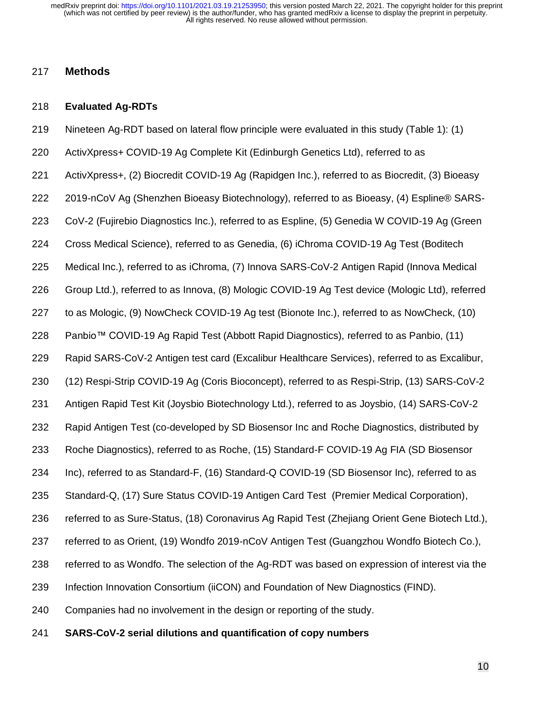## **Methods**

#### **Evaluated Ag-RDTs**

- Nineteen Ag-RDT based on lateral flow principle were evaluated in this study (Table 1): (1)
- ActivXpress+ COVID-19 Ag Complete Kit (Edinburgh Genetics Ltd), referred to as
- ActivXpress+, (2) Biocredit COVID-19 Ag (Rapidgen Inc.), referred to as Biocredit, (3) Bioeasy
- 2019-nCoV Ag (Shenzhen Bioeasy Biotechnology), referred to as Bioeasy, (4) Espline® SARS-
- CoV-2 (Fujirebio Diagnostics Inc.), referred to as Espline, (5) Genedia W COVID-19 Ag (Green
- Cross Medical Science), referred to as Genedia, (6) iChroma COVID-19 Ag Test (Boditech
- Medical Inc.), referred to as iChroma, (7) Innova SARS-CoV-2 Antigen Rapid (Innova Medical
- Group Ltd.), referred to as Innova, (8) Mologic COVID-19 Ag Test device (Mologic Ltd), referred
- to as Mologic, (9) NowCheck COVID-19 Ag test (Bionote Inc.), referred to as NowCheck, (10)
- Panbio™ COVID-19 Ag Rapid Test (Abbott Rapid Diagnostics), referred to as Panbio, (11)
- Rapid SARS-CoV-2 Antigen test card (Excalibur Healthcare Services), referred to as Excalibur,
- (12) Respi-Strip COVID-19 Ag (Coris Bioconcept), referred to as Respi-Strip, (13) SARS-CoV-2
- Antigen Rapid Test Kit (Joysbio Biotechnology Ltd.), referred to as Joysbio, (14) SARS-CoV-2
- Rapid Antigen Test (co-developed by SD Biosensor Inc and Roche Diagnostics, distributed by
- Roche Diagnostics), referred to as Roche, (15) Standard-F COVID-19 Ag FIA (SD Biosensor
- Inc), referred to as Standard-F, (16) Standard-Q COVID-19 (SD Biosensor Inc), referred to as
- Standard-Q, (17) Sure Status COVID-19 Antigen Card Test (Premier Medical Corporation),
- referred to as Sure-Status, (18) Coronavirus Ag Rapid Test (Zhejiang Orient Gene Biotech Ltd.),
- referred to as Orient, (19) Wondfo 2019-nCoV Antigen Test (Guangzhou Wondfo Biotech Co.),
- referred to as Wondfo. The selection of the Ag-RDT was based on expression of interest via the
- Infection Innovation Consortium (iiCON) and Foundation of New Diagnostics (FIND).
- Companies had no involvement in the design or reporting of the study.
- **SARS-CoV-2 serial dilutions and quantification of copy numbers**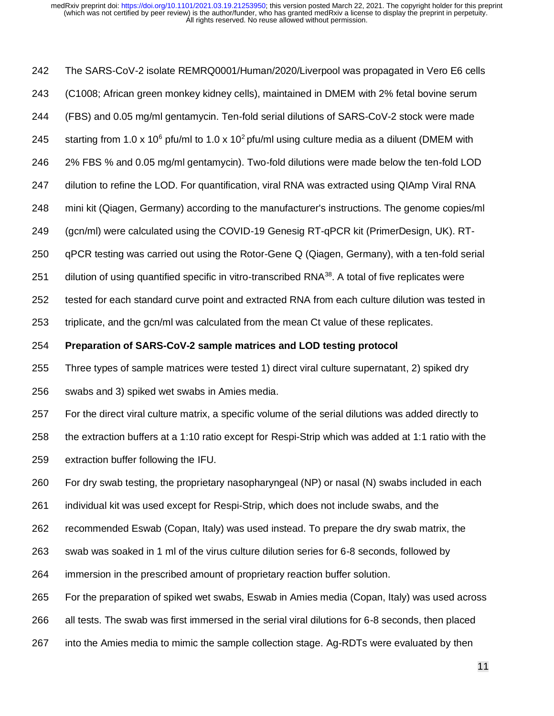The SARS-CoV-2 isolate REMRQ0001/Human/2020/Liverpool was propagated in Vero E6 cells (C1008; African green monkey kidney cells), maintained in DMEM with 2% fetal bovine serum (FBS) and 0.05 mg/ml gentamycin. Ten-fold serial dilutions of SARS-CoV-2 stock were made 245 starting from 1.0 x 10<sup>6</sup> pfu/ml to 1.0 x 10<sup>2</sup> pfu/ml using culture media as a diluent (DMEM with 2% FBS % and 0.05 mg/ml gentamycin). Two-fold dilutions were made below the ten-fold LOD dilution to refine the LOD. For quantification, viral RNA was extracted using QIAmp Viral RNA mini kit (Qiagen, Germany) according to the manufacturer's instructions. The genome copies/ml (gcn/ml) were calculated using the COVID-19 Genesig RT-qPCR kit (PrimerDesign, UK). RT- qPCR testing was carried out using the Rotor-Gene Q (Qiagen, Germany), with a ten-fold serial 251 dilution of using quantified specific in vitro-transcribed RNA<sup>38</sup>. A total of five replicates were tested for each standard curve point and extracted RNA from each culture dilution was tested in triplicate, and the gcn/ml was calculated from the mean Ct value of these replicates. **Preparation of SARS-CoV-2 sample matrices and LOD testing protocol** Three types of sample matrices were tested 1) direct viral culture supernatant, 2) spiked dry swabs and 3) spiked wet swabs in Amies media. For the direct viral culture matrix, a specific volume of the serial dilutions was added directly to the extraction buffers at a 1:10 ratio except for Respi-Strip which was added at 1:1 ratio with the extraction buffer following the IFU. For dry swab testing, the proprietary nasopharyngeal (NP) or nasal (N) swabs included in each individual kit was used except for Respi-Strip, which does not include swabs, and the recommended Eswab (Copan, Italy) was used instead. To prepare the dry swab matrix, the swab was soaked in 1 ml of the virus culture dilution series for 6-8 seconds, followed by immersion in the prescribed amount of proprietary reaction buffer solution. For the preparation of spiked wet swabs, Eswab in Amies media (Copan, Italy) was used across all tests. The swab was first immersed in the serial viral dilutions for 6-8 seconds, then placed

into the Amies media to mimic the sample collection stage. Ag-RDTs were evaluated by then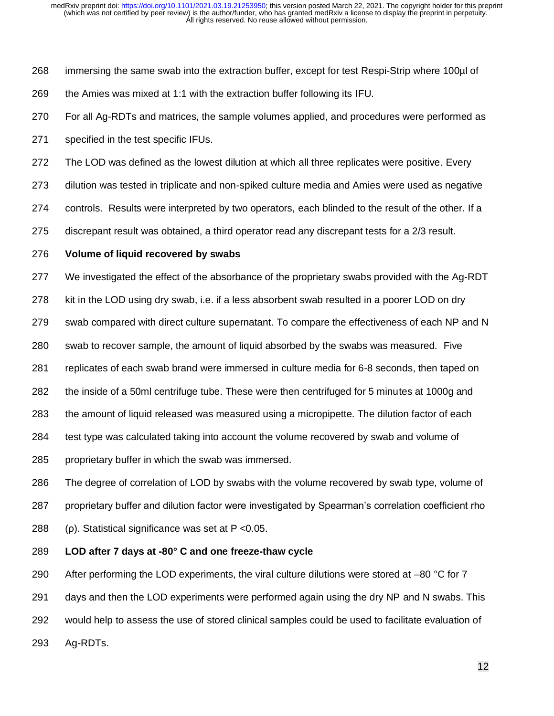- immersing the same swab into the extraction buffer, except for test Respi-Strip where 100µl of the Amies was mixed at 1:1 with the extraction buffer following its IFU.
- For all Ag-RDTs and matrices, the sample volumes applied, and procedures were performed as
- specified in the test specific IFUs.
- The LOD was defined as the lowest dilution at which all three replicates were positive. Every
- dilution was tested in triplicate and non-spiked culture media and Amies were used as negative
- controls. Results were interpreted by two operators, each blinded to the result of the other. If a
- discrepant result was obtained, a third operator read any discrepant tests for a 2/3 result.

### **Volume of liquid recovered by swabs**

- We investigated the effect of the absorbance of the proprietary swabs provided with the Ag-RDT
- kit in the LOD using dry swab, i.e. if a less absorbent swab resulted in a poorer LOD on dry
- swab compared with direct culture supernatant. To compare the effectiveness of each NP and N
- swab to recover sample, the amount of liquid absorbed by the swabs was measured. Five
- replicates of each swab brand were immersed in culture media for 6-8 seconds, then taped on
- the inside of a 50ml centrifuge tube. These were then centrifuged for 5 minutes at 1000g and
- the amount of liquid released was measured using a micropipette. The dilution factor of each
- test type was calculated taking into account the volume recovered by swab and volume of
- proprietary buffer in which the swab was immersed.
- The degree of correlation of LOD by swabs with the volume recovered by swab type, volume of proprietary buffer and dilution factor were investigated by Spearman's correlation coefficient rho (ρ). Statistical significance was set at P <0.05.

## **LOD after 7 days at -80° C and one freeze-thaw cycle**

290 After performing the LOD experiments, the viral culture dilutions were stored at  $-80$  °C for 7 291 days and then the LOD experiments were performed again using the dry NP and N swabs. This would help to assess the use of stored clinical samples could be used to facilitate evaluation of Ag-RDTs.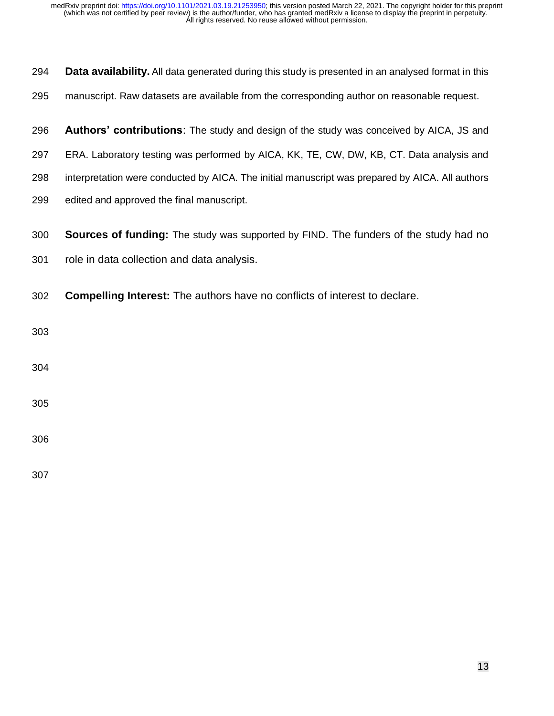| 294 | Data availability. All data generated during this study is presented in an analysed format in this |  |  |  |
|-----|----------------------------------------------------------------------------------------------------|--|--|--|
| 295 | manuscript. Raw datasets are available from the corresponding author on reasonable request.        |  |  |  |
| 296 | Authors' contributions: The study and design of the study was conceived by AICA, JS and            |  |  |  |
| 297 | ERA. Laboratory testing was performed by AICA, KK, TE, CW, DW, KB, CT. Data analysis and           |  |  |  |
| 298 | interpretation were conducted by AICA. The initial manuscript was prepared by AICA. All authors    |  |  |  |
| 299 | edited and approved the final manuscript.                                                          |  |  |  |
| 300 | <b>Sources of funding:</b> The study was supported by FIND. The funders of the study had no        |  |  |  |
| 301 | role in data collection and data analysis.                                                         |  |  |  |
| 302 | <b>Compelling Interest:</b> The authors have no conflicts of interest to declare.                  |  |  |  |
| 303 |                                                                                                    |  |  |  |
| 304 |                                                                                                    |  |  |  |
| 305 |                                                                                                    |  |  |  |
| 306 |                                                                                                    |  |  |  |
| 307 |                                                                                                    |  |  |  |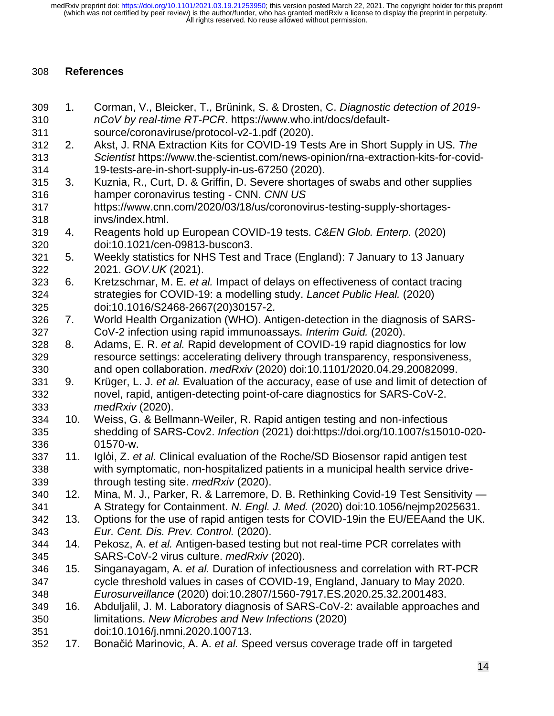## **References**

- 1. Corman, V., Bleicker, T., Brünink, S. & Drosten, C. *Diagnostic detection of 2019- nCoV by real-time RT-PCR*. https://www.who.int/docs/default-
- source/coronaviruse/protocol-v2-1.pdf (2020).
- 2. Akst, J. RNA Extraction Kits for COVID-19 Tests Are in Short Supply in US. *The Scientist* https://www.the-scientist.com/news-opinion/rna-extraction-kits-for-covid-19-tests-are-in-short-supply-in-us-67250 (2020).
- 3. Kuznia, R., Curt, D. & Griffin, D. Severe shortages of swabs and other supplies hamper coronavirus testing - CNN. *CNN US*
- https://www.cnn.com/2020/03/18/us/coronovirus-testing-supply-shortages-invs/index.html.
- 4. Reagents hold up European COVID-19 tests. *C&EN Glob. Enterp.* (2020) doi:10.1021/cen-09813-buscon3.
- 5. Weekly statistics for NHS Test and Trace (England): 7 January to 13 January 2021. *GOV.UK* (2021).
- 6. Kretzschmar, M. E. *et al.* Impact of delays on effectiveness of contact tracing strategies for COVID-19: a modelling study. *Lancet Public Heal.* (2020) doi:10.1016/S2468-2667(20)30157-2.
- 7. World Health Organization (WHO). Antigen-detection in the diagnosis of SARS-CoV-2 infection using rapid immunoassays. *Interim Guid.* (2020).
- 8. Adams, E. R. *et al.* Rapid development of COVID-19 rapid diagnostics for low resource settings: accelerating delivery through transparency, responsiveness, and open collaboration. *medRxiv* (2020) doi:10.1101/2020.04.29.20082099.
- 9. Krüger, L. J. *et al.* Evaluation of the accuracy, ease of use and limit of detection of novel, rapid, antigen-detecting point-of-care diagnostics for SARS-CoV-2. *medRxiv* (2020).
- 10. Weiss, G. & Bellmann-Weiler, R. Rapid antigen testing and non-infectious shedding of SARS-Cov2. *Infection* (2021) doi:https://doi.org/10.1007/s15010-020- 01570-w.
- 11. Iglὁi, Z. *et al.* Clinical evaluation of the Roche/SD Biosensor rapid antigen test with symptomatic, non-hospitalized patients in a municipal health service drive-through testing site. *medRxiv* (2020).
- 12. Mina, M. J., Parker, R. & Larremore, D. B. Rethinking Covid-19 Test Sensitivity A Strategy for Containment. *N. Engl. J. Med.* (2020) doi:10.1056/nejmp2025631.
- 13. Options for the use of rapid antigen tests for COVID-19in the EU/EEAand the UK. *Eur. Cent. Dis. Prev. Control.* (2020).
- 14. Pekosz, A. *et al.* Antigen-based testing but not real-time PCR correlates with SARS-CoV-2 virus culture. *medRxiv* (2020).
- 15. Singanayagam, A. *et al.* Duration of infectiousness and correlation with RT-PCR cycle threshold values in cases of COVID-19, England, January to May 2020. *Eurosurveillance* (2020) doi:10.2807/1560-7917.ES.2020.25.32.2001483.
- 16. Abduljalil, J. M. Laboratory diagnosis of SARS-CoV-2: available approaches and limitations. *New Microbes and New Infections* (2020) doi:10.1016/j.nmni.2020.100713.
- 17. Bonačić Marinovic, A. A. *et al.* Speed versus coverage trade off in targeted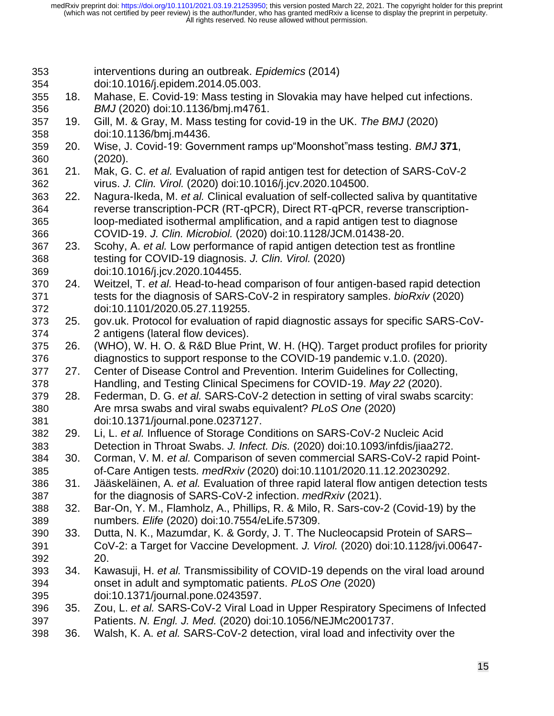- interventions during an outbreak. *Epidemics* (2014)
- doi:10.1016/j.epidem.2014.05.003.
- 18. Mahase, E. Covid-19: Mass testing in Slovakia may have helped cut infections. *BMJ* (2020) doi:10.1136/bmj.m4761.
- 19. Gill, M. & Gray, M. Mass testing for covid-19 in the UK. *The BMJ* (2020) doi:10.1136/bmj.m4436.
- 20. Wise, J. Covid-19: Government ramps up"Moonshot"mass testing. *BMJ* **371**, (2020).
- 21. Mak, G. C. *et al.* Evaluation of rapid antigen test for detection of SARS-CoV-2 virus. *J. Clin. Virol.* (2020) doi:10.1016/j.jcv.2020.104500.
- 22. Nagura-Ikeda, M. *et al.* Clinical evaluation of self-collected saliva by quantitative reverse transcription-PCR (RT-qPCR), Direct RT-qPCR, reverse transcription- loop-mediated isothermal amplification, and a rapid antigen test to diagnose COVID-19. *J. Clin. Microbiol.* (2020) doi:10.1128/JCM.01438-20.
- 23. Scohy, A. *et al.* Low performance of rapid antigen detection test as frontline testing for COVID-19 diagnosis. *J. Clin. Virol.* (2020)
- doi:10.1016/j.jcv.2020.104455.
- 24. Weitzel, T. *et al.* Head-to-head comparison of four antigen-based rapid detection tests for the diagnosis of SARS-CoV-2 in respiratory samples. *bioRxiv* (2020) doi:10.1101/2020.05.27.119255.
- 25. gov.uk. Protocol for evaluation of rapid diagnostic assays for specific SARS-CoV-2 antigens (lateral flow devices).
- 26. (WHO), W. H. O. & R&D Blue Print, W. H. (HQ). Target product profiles for priority diagnostics to support response to the COVID-19 pandemic v.1.0. (2020).
- 27. Center of Disease Control and Prevention. Interim Guidelines for Collecting, Handling, and Testing Clinical Specimens for COVID-19. *May 22* (2020).
- 28. Federman, D. G. *et al.* SARS-CoV-2 detection in setting of viral swabs scarcity: Are mrsa swabs and viral swabs equivalent? *PLoS One* (2020) doi:10.1371/journal.pone.0237127.
- 29. Li, L. *et al.* Influence of Storage Conditions on SARS-CoV-2 Nucleic Acid Detection in Throat Swabs. *J. Infect. Dis.* (2020) doi:10.1093/infdis/jiaa272.
- 30. Corman, V. M. *et al.* Comparison of seven commercial SARS-CoV-2 rapid Point-of-Care Antigen tests. *medRxiv* (2020) doi:10.1101/2020.11.12.20230292.
- 31. Jääskeläinen, A. *et al.* Evaluation of three rapid lateral flow antigen detection tests for the diagnosis of SARS-CoV-2 infection. *medRxiv* (2021).
- 32. Bar-On, Y. M., Flamholz, A., Phillips, R. & Milo, R. Sars-cov-2 (Covid-19) by the numbers. *Elife* (2020) doi:10.7554/eLife.57309.
- 33. Dutta, N. K., Mazumdar, K. & Gordy, J. T. The Nucleocapsid Protein of SARS– CoV-2: a Target for Vaccine Development. *J. Virol.* (2020) doi:10.1128/jvi.00647- 20.
- 34. Kawasuji, H. *et al.* Transmissibility of COVID-19 depends on the viral load around onset in adult and symptomatic patients. *PLoS One* (2020) doi:10.1371/journal.pone.0243597.
- 35. Zou, L. *et al.* SARS-CoV-2 Viral Load in Upper Respiratory Specimens of Infected Patients. *N. Engl. J. Med.* (2020) doi:10.1056/NEJMc2001737.
- 36. Walsh, K. A. *et al.* SARS-CoV-2 detection, viral load and infectivity over the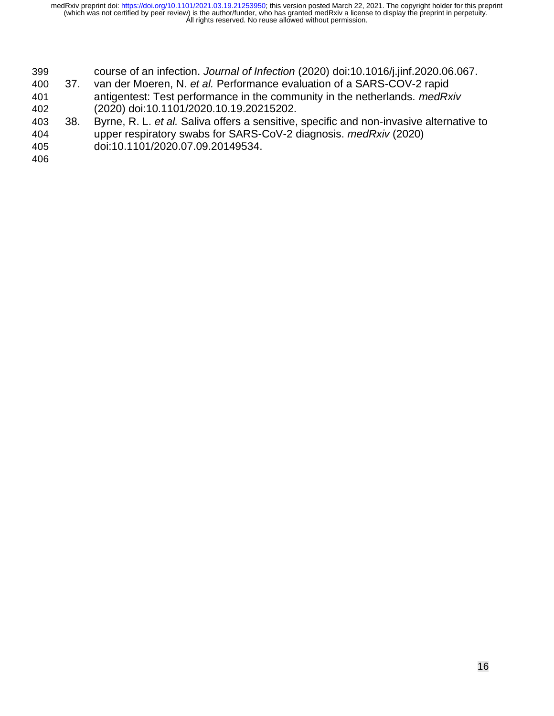- course of an infection. *Journal of Infection* (2020) doi:10.1016/j.jinf.2020.06.067.
- 37. van der Moeren, N. *et al.* Performance evaluation of a SARS-COV-2 rapid antigentest: Test performance in the community in the netherlands. *medRxiv* (2020) doi:10.1101/2020.10.19.20215202.
- 38. Byrne, R. L. *et al.* Saliva offers a sensitive, specific and non-invasive alternative to upper respiratory swabs for SARS-CoV-2 diagnosis. *medRxiv* (2020) doi:10.1101/2020.07.09.20149534.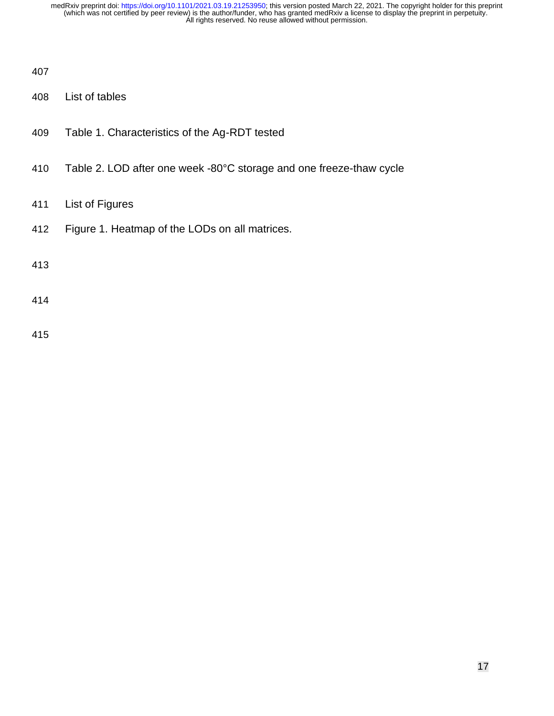- List of tables
- Table 1. Characteristics of the Ag-RDT tested
- Table 2. LOD after one week -80°C storage and one freeze-thaw cycle
- List of Figures
- Figure 1. Heatmap of the LODs on all matrices.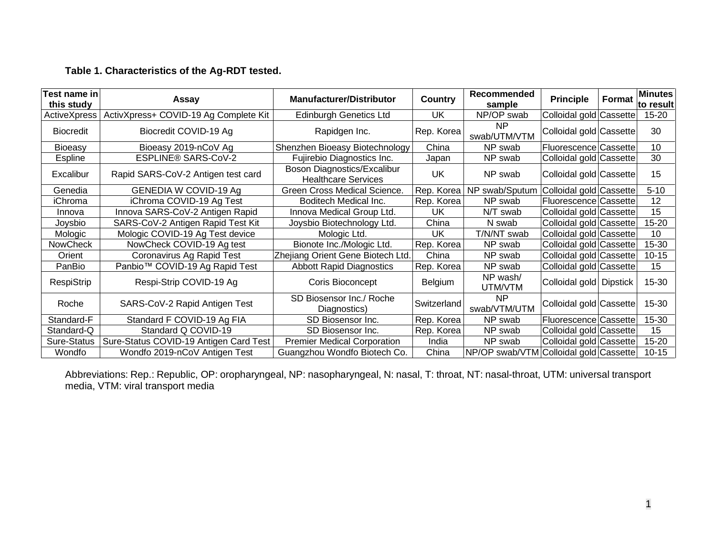# **Table 1. Characteristics of the Ag-RDT tested.**

| Test name in<br>this study | Assay                                  | <b>Manufacturer/Distributor</b>                           | Country     | Recommended<br>sample                  | <b>Principle</b>        | Format | <b>Minutes</b><br>lto result |
|----------------------------|----------------------------------------|-----------------------------------------------------------|-------------|----------------------------------------|-------------------------|--------|------------------------------|
| ActiveXpress               | ActivXpress+ COVID-19 Ag Complete Kit  | <b>Edinburgh Genetics Ltd</b>                             | UK          | NP/OP swab                             | Colloidal gold Cassette |        | $15 - 20$                    |
| <b>Biocredit</b>           | Biocredit COVID-19 Ag                  | Rapidgen Inc.                                             | Rep. Korea  | <b>NP</b><br>swab/UTM/VTM              | Colloidal gold Cassette |        | 30                           |
| <b>Bioeasy</b>             | Bioeasy 2019-nCoV Ag                   | Shenzhen Bioeasy Biotechnology                            | China       | NP swab                                | Fluorescence Cassette   |        | 10                           |
| <b>Espline</b>             | ESPLINE® SARS-CoV-2                    | Fujirebio Diagnostics Inc.                                | Japan       | NP swab                                | Colloidal gold Cassette |        | 30                           |
| Excalibur                  | Rapid SARS-CoV-2 Antigen test card     | Boson Diagnostics/Excalibur<br><b>Healthcare Services</b> | UK          | NP swab                                | Colloidal gold Cassette |        | 15                           |
| Genedia                    | GENEDIA W COVID-19 Ag                  | Green Cross Medical Science.                              | Rep. Korea  | NP swab/Sputum                         | Colloidal gold Cassette |        | $5 - 10$                     |
| iChroma                    | iChroma COVID-19 Ag Test               | Boditech Medical Inc.                                     | Rep. Korea  | NP swab                                | Fluorescence Cassette   |        | 12                           |
| Innova                     | Innova SARS-CoV-2 Antigen Rapid        | Innova Medical Group Ltd.                                 | UK          | N/T swab                               | Colloidal gold Cassette |        | 15                           |
| Joysbio                    | SARS-CoV-2 Antigen Rapid Test Kit      | Joysbio Biotechnology Ltd.                                | China       | N swab                                 | Colloidal gold Cassette |        | 15-20                        |
| Mologic                    | Mologic COVID-19 Ag Test device        | Mologic Ltd.                                              | UK          | T/N/NT swab                            | Colloidal gold Cassette |        | 10                           |
| <b>NowCheck</b>            | NowCheck COVID-19 Ag test              | Bionote Inc./Mologic Ltd.                                 | Rep. Korea  | NP swab                                | Colloidal gold Cassette |        | 15-30                        |
| Orient                     | Coronavirus Ag Rapid Test              | Zhejiang Orient Gene Biotech Ltd.                         | China       | NP swab                                | Colloidal gold Cassette |        | $10 - 15$                    |
| PanBio                     | Panbio™ COVID-19 Ag Rapid Test         | <b>Abbott Rapid Diagnostics</b>                           | Rep. Korea  | NP swab                                | Colloidal gold Cassette |        | 15                           |
| RespiStrip                 | Respi-Strip COVID-19 Ag                | Coris Bioconcept                                          | Belgium     | NP wash/<br>UTM/VTM                    | Colloidal gold Dipstick |        | 15-30                        |
| Roche                      | SARS-CoV-2 Rapid Antigen Test          | SD Biosensor Inc./ Roche<br>Diagnostics)                  | Switzerland | NP<br>swab/VTM/UTM                     | Colloidal gold Cassette |        | 15-30                        |
| Standard-F                 | Standard F COVID-19 Ag FIA             | SD Biosensor Inc.                                         | Rep. Korea  | NP swab                                | Fluorescence Cassette   |        | 15-30                        |
| Standard-Q                 | Standard Q COVID-19                    | SD Biosensor Inc.                                         | Rep. Korea  | NP swab                                | Colloidal gold Cassette |        | 15                           |
| Sure-Status                | Sure-Status COVID-19 Antigen Card Test | <b>Premier Medical Corporation</b>                        | India       | NP swab                                | Colloidal gold Cassette |        | 15-20                        |
| Wondfo                     | Wondfo 2019-nCoV Antigen Test          | Guangzhou Wondfo Biotech Co.                              | China       | NP/OP swab/VTM Colloidal gold Cassette |                         |        | $10 - 15$                    |

Abbreviations: Rep.: Republic, OP: oropharyngeal, NP: nasopharyngeal, N: nasal, T: throat, NT: nasal-throat, UTM: universal transport media, VTM: viral transport media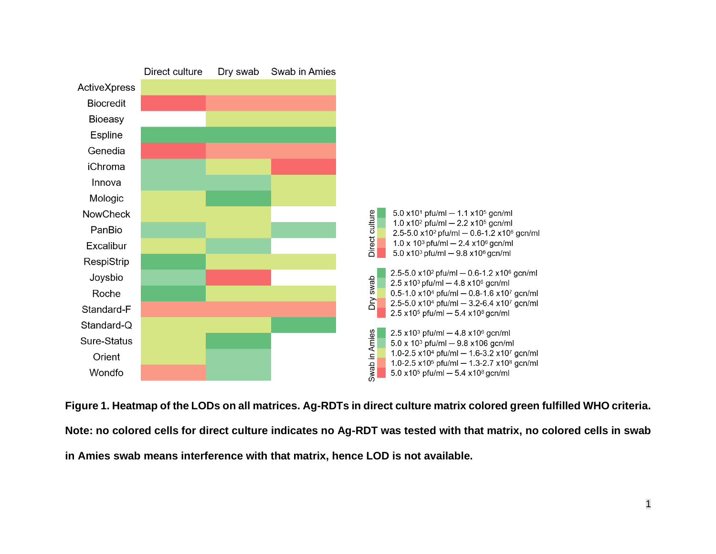

**Figure 1. Heatmap of the LODs on all matrices. Ag-RDTs in direct culture matrix colored green fulfilled WHO criteria. Note: no colored cells for direct culture indicates no Ag-RDT was tested with that matrix, no colored cells in swab in Amies swab means interference with that matrix, hence LOD is not available.**